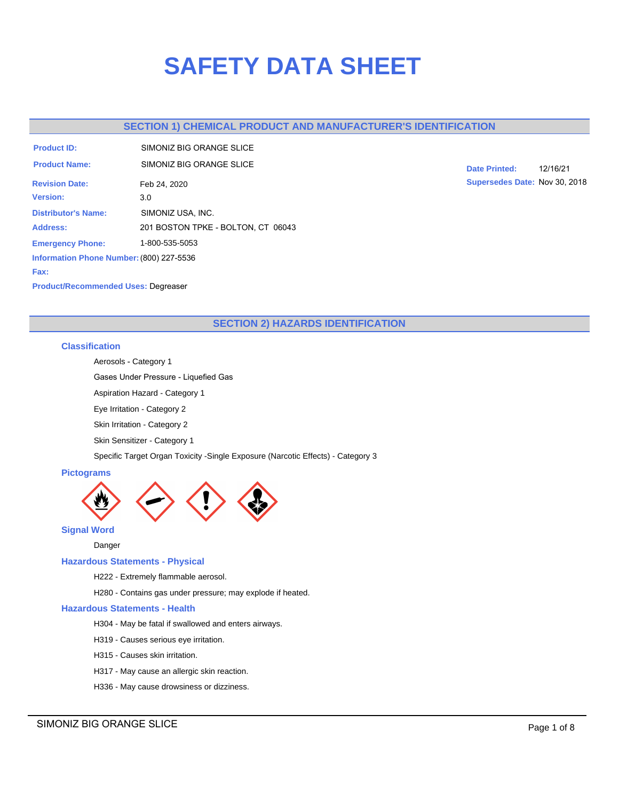# **SAFETY DATA SHEET**

# **SECTION 1) CHEMICAL PRODUCT AND MANUFACTURER'S IDENTIFICATION**

| <b>Product ID:</b>                       | SIMONIZ BIG ORANGE SLICE           |  |  |
|------------------------------------------|------------------------------------|--|--|
| <b>Product Name:</b>                     | SIMONIZ BIG ORANGE SI ICE          |  |  |
| <b>Revision Date:</b>                    | Feb 24, 2020                       |  |  |
| <b>Version:</b>                          | 3.0                                |  |  |
| <b>Distributor's Name:</b>               | SIMONIZ USA, INC.                  |  |  |
| <b>Address:</b>                          | 201 BOSTON TPKE - BOLTON, CT 06043 |  |  |
| <b>Emergency Phone:</b>                  | 1-800-535-5053                     |  |  |
| Information Phone Number: (800) 227-5536 |                                    |  |  |
| Fax:                                     |                                    |  |  |

**Date Printed:** 12/16/21 **Supersedes Date:** Nov 30, 2018

## **Product/Recommended Uses:** Degreaser

# **SECTION 2) HAZARDS IDENTIFICATION**

# **Classification**

Aerosols - Category 1

Gases Under Pressure - Liquefied Gas

Aspiration Hazard - Category 1

Eye Irritation - Category 2

Skin Irritation - Category 2

Skin Sensitizer - Category 1

Specific Target Organ Toxicity -Single Exposure (Narcotic Effects) - Category 3

# **Pictograms**



**Signal Word**

Danger

## **Hazardous Statements - Physical**

H222 - Extremely flammable aerosol.

H280 - Contains gas under pressure; may explode if heated.

## **Hazardous Statements - Health**

H304 - May be fatal if swallowed and enters airways.

H319 - Causes serious eye irritation.

- H315 Causes skin irritation.
- H317 May cause an allergic skin reaction.
- H336 May cause drowsiness or dizziness.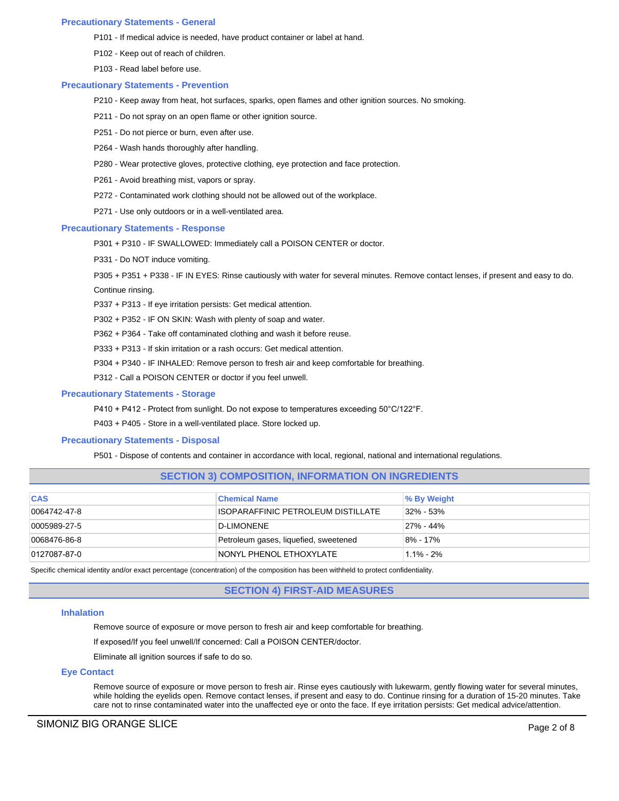#### **Precautionary Statements - General**

- P101 If medical advice is needed, have product container or label at hand.
- P102 Keep out of reach of children.
- P103 Read label before use.

#### **Precautionary Statements - Prevention**

- P210 Keep away from heat, hot surfaces, sparks, open flames and other ignition sources. No smoking.
- P211 Do not spray on an open flame or other ignition source.
- P251 Do not pierce or burn, even after use.
- P264 Wash hands thoroughly after handling.
- P280 Wear protective gloves, protective clothing, eye protection and face protection.
- P261 Avoid breathing mist, vapors or spray.
- P272 Contaminated work clothing should not be allowed out of the workplace.
- P271 Use only outdoors or in a well-ventilated area.

## **Precautionary Statements - Response**

- P301 + P310 IF SWALLOWED: Immediately call a POISON CENTER or doctor.
- P331 Do NOT induce vomiting.

P305 + P351 + P338 - IF IN EYES: Rinse cautiously with water for several minutes. Remove contact lenses, if present and easy to do. Continue rinsing.

P337 + P313 - If eye irritation persists: Get medical attention.

P302 + P352 - IF ON SKIN: Wash with plenty of soap and water.

P362 + P364 - Take off contaminated clothing and wash it before reuse.

P333 + P313 - If skin irritation or a rash occurs: Get medical attention.

P304 + P340 - IF INHALED: Remove person to fresh air and keep comfortable for breathing.

P312 - Call a POISON CENTER or doctor if you feel unwell.

## **Precautionary Statements - Storage**

P410 + P412 - Protect from sunlight. Do not expose to temperatures exceeding 50°C/122°F.

P403 + P405 - Store in a well-ventilated place. Store locked up.

## **Precautionary Statements - Disposal**

P501 - Dispose of contents and container in accordance with local, regional, national and international regulations.

## **SECTION 3) COMPOSITION, INFORMATION ON INGREDIENTS**

| <b>CAS</b>   | <b>Chemical Name</b>                  | <b>% By Weight</b> |
|--------------|---------------------------------------|--------------------|
| 0064742-47-8 | ISOPARAFFINIC PETROLEUM DISTILLATE    | $32\% - 53\%$      |
| 0005989-27-5 | D-LIMONENE                            | 27% - 44%          |
| 0068476-86-8 | Petroleum gases, liquefied, sweetened | 8% - 17%           |
| 0127087-87-0 | INONYL PHENOL ETHOXYLATE              | 1.1% - 2%          |

Specific chemical identity and/or exact percentage (concentration) of the composition has been withheld to protect confidentiality.

## **SECTION 4) FIRST-AID MEASURES**

#### **Inhalation**

Remove source of exposure or move person to fresh air and keep comfortable for breathing.

If exposed/If you feel unwell/If concerned: Call a POISON CENTER/doctor.

Eliminate all ignition sources if safe to do so.

## **Eye Contact**

Remove source of exposure or move person to fresh air. Rinse eyes cautiously with lukewarm, gently flowing water for several minutes, while holding the eyelids open. Remove contact lenses, if present and easy to do. Continue rinsing for a duration of 15-20 minutes. Take care not to rinse contaminated water into the unaffected eye or onto the face. If eye irritation persists: Get medical advice/attention.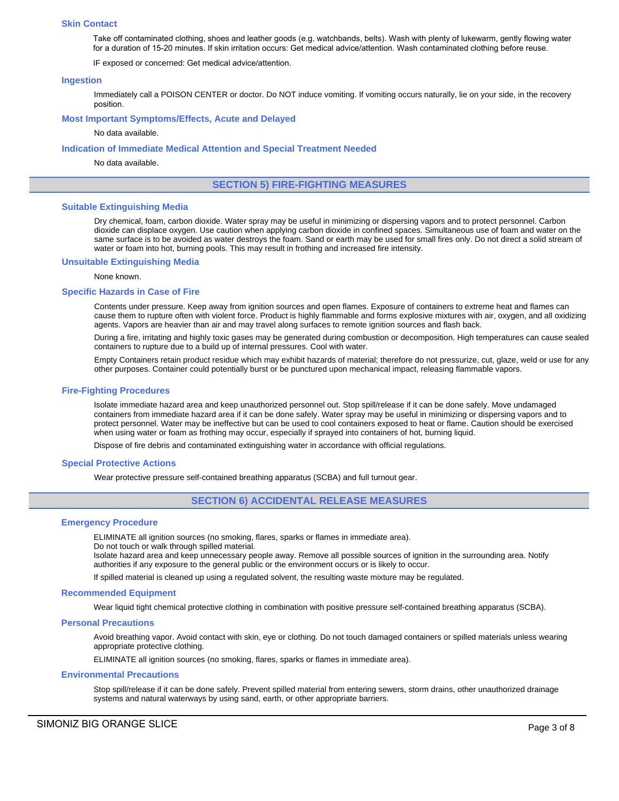#### **Skin Contact**

Take off contaminated clothing, shoes and leather goods (e.g. watchbands, belts). Wash with plenty of lukewarm, gently flowing water for a duration of 15-20 minutes. If skin irritation occurs: Get medical advice/attention. Wash contaminated clothing before reuse.

IF exposed or concerned: Get medical advice/attention.

#### **Ingestion**

Immediately call a POISON CENTER or doctor. Do NOT induce vomiting. If vomiting occurs naturally, lie on your side, in the recovery position.

#### **Most Important Symptoms/Effects, Acute and Delayed**

No data available.

#### **Indication of Immediate Medical Attention and Special Treatment Needed**

No data available.

## **SECTION 5) FIRE-FIGHTING MEASURES**

#### **Suitable Extinguishing Media**

Dry chemical, foam, carbon dioxide. Water spray may be useful in minimizing or dispersing vapors and to protect personnel. Carbon dioxide can displace oxygen. Use caution when applying carbon dioxide in confined spaces. Simultaneous use of foam and water on the same surface is to be avoided as water destroys the foam. Sand or earth may be used for small fires only. Do not direct a solid stream of water or foam into hot, burning pools. This may result in frothing and increased fire intensity.

#### **Unsuitable Extinguishing Media**

#### None known.

#### **Specific Hazards in Case of Fire**

Contents under pressure. Keep away from ignition sources and open flames. Exposure of containers to extreme heat and flames can cause them to rupture often with violent force. Product is highly flammable and forms explosive mixtures with air, oxygen, and all oxidizing agents. Vapors are heavier than air and may travel along surfaces to remote ignition sources and flash back.

During a fire, irritating and highly toxic gases may be generated during combustion or decomposition. High temperatures can cause sealed containers to rupture due to a build up of internal pressures. Cool with water.

Empty Containers retain product residue which may exhibit hazards of material; therefore do not pressurize, cut, glaze, weld or use for any other purposes. Container could potentially burst or be punctured upon mechanical impact, releasing flammable vapors.

## **Fire-Fighting Procedures**

Isolate immediate hazard area and keep unauthorized personnel out. Stop spill/release if it can be done safely. Move undamaged containers from immediate hazard area if it can be done safely. Water spray may be useful in minimizing or dispersing vapors and to protect personnel. Water may be ineffective but can be used to cool containers exposed to heat or flame. Caution should be exercised when using water or foam as frothing may occur, especially if sprayed into containers of hot, burning liquid.

Dispose of fire debris and contaminated extinguishing water in accordance with official regulations.

#### **Special Protective Actions**

Wear protective pressure self-contained breathing apparatus (SCBA) and full turnout gear.

# **SECTION 6) ACCIDENTAL RELEASE MEASURES**

#### **Emergency Procedure**

ELIMINATE all ignition sources (no smoking, flares, sparks or flames in immediate area).

Do not touch or walk through spilled material.

Isolate hazard area and keep unnecessary people away. Remove all possible sources of ignition in the surrounding area. Notify authorities if any exposure to the general public or the environment occurs or is likely to occur.

If spilled material is cleaned up using a regulated solvent, the resulting waste mixture may be regulated.

#### **Recommended Equipment**

Wear liquid tight chemical protective clothing in combination with positive pressure self-contained breathing apparatus (SCBA).

#### **Personal Precautions**

Avoid breathing vapor. Avoid contact with skin, eye or clothing. Do not touch damaged containers or spilled materials unless wearing appropriate protective clothing.

ELIMINATE all ignition sources (no smoking, flares, sparks or flames in immediate area).

#### **Environmental Precautions**

Stop spill/release if it can be done safely. Prevent spilled material from entering sewers, storm drains, other unauthorized drainage systems and natural waterways by using sand, earth, or other appropriate barriers.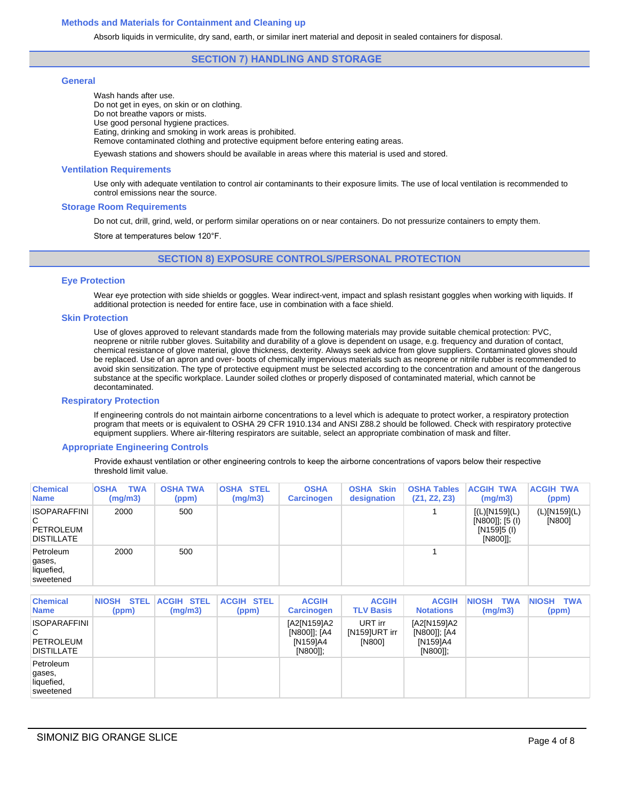## **Methods and Materials for Containment and Cleaning up**

Absorb liquids in vermiculite, dry sand, earth, or similar inert material and deposit in sealed containers for disposal.

## **SECTION 7) HANDLING AND STORAGE**

## **General**

Wash hands after use. Do not get in eyes, on skin or on clothing. Do not breathe vapors or mists. Use good personal hygiene practices. Eating, drinking and smoking in work areas is prohibited. Remove contaminated clothing and protective equipment before entering eating areas.

Eyewash stations and showers should be available in areas where this material is used and stored.

#### **Ventilation Requirements**

Use only with adequate ventilation to control air contaminants to their exposure limits. The use of local ventilation is recommended to control emissions near the source.

#### **Storage Room Requirements**

Do not cut, drill, grind, weld, or perform similar operations on or near containers. Do not pressurize containers to empty them.

Store at temperatures below 120°F.

## **SECTION 8) EXPOSURE CONTROLS/PERSONAL PROTECTION**

#### **Eye Protection**

Wear eye protection with side shields or goggles. Wear indirect-vent, impact and splash resistant goggles when working with liquids. If additional protection is needed for entire face, use in combination with a face shield.

## **Skin Protection**

Use of gloves approved to relevant standards made from the following materials may provide suitable chemical protection: PVC, neoprene or nitrile rubber gloves. Suitability and durability of a glove is dependent on usage, e.g. frequency and duration of contact, chemical resistance of glove material, glove thickness, dexterity. Always seek advice from glove suppliers. Contaminated gloves should be replaced. Use of an apron and over- boots of chemically impervious materials such as neoprene or nitrile rubber is recommended to avoid skin sensitization. The type of protective equipment must be selected according to the concentration and amount of the dangerous substance at the specific workplace. Launder soiled clothes or properly disposed of contaminated material, which cannot be decontaminated.

#### **Respiratory Protection**

If engineering controls do not maintain airborne concentrations to a level which is adequate to protect worker, a respiratory protection program that meets or is equivalent to OSHA 29 CFR 1910.134 and ANSI Z88.2 should be followed. Check with respiratory protective equipment suppliers. Where air-filtering respirators are suitable, select an appropriate combination of mask and filter.

#### **Appropriate Engineering Controls**

Provide exhaust ventilation or other engineering controls to keep the airborne concentrations of vapors below their respective threshold limit value.

| <b>Chemical</b><br><b>Name</b>                                    | <b>TWA</b><br><b>OSHA</b><br>(mg/m3) | <b>OSHA TWA</b><br>(ppm) | <b>OSHA STEL</b><br>(mg/m3) | <b>OSHA</b><br><b>Carcinogen</b> | <b>Skin</b><br><b>OSHA</b><br>designation | <b>OSHA Tables</b><br>(Z1, Z2, Z3) | <b>ACGIH TWA</b><br>(mg/m3)                                  | <b>ACGIH TWA</b><br>(ppm) |
|-------------------------------------------------------------------|--------------------------------------|--------------------------|-----------------------------|----------------------------------|-------------------------------------------|------------------------------------|--------------------------------------------------------------|---------------------------|
| <b>ISOPARAFFINI</b><br>C<br><b>PETROLEUM</b><br><b>DISTILLATE</b> | 2000                                 | 500                      |                             |                                  |                                           |                                    | [(L)[N159](L)]<br>[N800]]; [5 (I)<br>[N159]5 (I)<br>[N800]]; | (L)[N159](L)<br>[N800]    |
| Petroleum<br>gases,<br>liquefied,<br>sweetened                    | 2000                                 | 500                      |                             |                                  |                                           |                                    |                                                              |                           |

| <b>Chemical</b><br><b>Name</b>                                    | <b>STEL</b><br><b>NIOSH</b><br>(ppm) | <b>ACGIH STEL</b><br>(mg/m3) | <b>ACGIH STEL</b><br>(ppm) | <b>ACGIH</b><br><b>Carcinogen</b>                 | <b>ACGIH</b><br><b>TLV Basis</b>   | <b>ACGIH</b><br><b>Notations</b>                  | <b>TWA</b><br><b>NIOSH</b><br>(mg/m3) | <b>NIOSH</b><br><b>TWA</b><br>(ppm) |
|-------------------------------------------------------------------|--------------------------------------|------------------------------|----------------------------|---------------------------------------------------|------------------------------------|---------------------------------------------------|---------------------------------------|-------------------------------------|
| <b>ISOPARAFFINI</b><br>C<br><b>PETROLEUM</b><br><b>DISTILLATE</b> |                                      |                              |                            | [A2[N159]A2<br>[N800]]; [A4<br>[N159]A4<br>[N800] | URT irr<br>[N159]URT irr<br>[N800] | [A2[N159]A2<br>[N800]]; [A4<br>[N159]A4<br>[N800] |                                       |                                     |
| Petroleum<br>gases,<br>liquefied,<br>sweetened                    |                                      |                              |                            |                                                   |                                    |                                                   |                                       |                                     |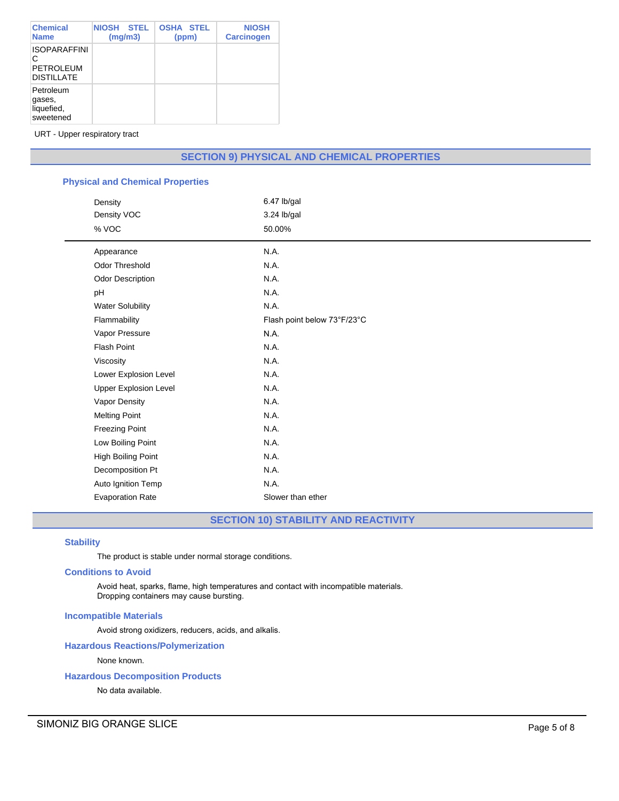| <b>Chemical</b><br><b>Name</b>                                    | <b>NIOSH</b><br><b>STEL</b><br>(mg/m3) | <b>OSHA STEL</b><br>(ppm) | <b>NIOSH</b><br><b>Carcinogen</b> |
|-------------------------------------------------------------------|----------------------------------------|---------------------------|-----------------------------------|
| <b>ISOPARAFFINI</b><br>C<br><b>PETROLEUM</b><br><b>DISTILLATE</b> |                                        |                           |                                   |
| Petroleum<br>gases,<br>liquefied,<br>sweetened                    |                                        |                           |                                   |

URT - Upper respiratory tract

# **SECTION 9) PHYSICAL AND CHEMICAL PROPERTIES**

# **Physical and Chemical Properties**

| Density                      | 6.47 lb/gal                 |
|------------------------------|-----------------------------|
| Density VOC                  | 3.24 lb/gal                 |
| % VOC                        | 50.00%                      |
| Appearance                   | N.A.                        |
| <b>Odor Threshold</b>        | N.A.                        |
| <b>Odor Description</b>      | N.A.                        |
| pH                           | N.A.                        |
| <b>Water Solubility</b>      | N.A.                        |
| Flammability                 | Flash point below 73°F/23°C |
| Vapor Pressure               | N.A.                        |
| Flash Point                  | N.A.                        |
| Viscosity                    | N.A.                        |
| Lower Explosion Level        | N.A.                        |
| <b>Upper Explosion Level</b> | N.A.                        |
| Vapor Density                | N.A.                        |
| <b>Melting Point</b>         | N.A.                        |
| <b>Freezing Point</b>        | N.A.                        |
| Low Boiling Point            | N.A.                        |
| High Boiling Point           | N.A.                        |
| Decomposition Pt             | N.A.                        |
| Auto Ignition Temp           | N.A.                        |
| <b>Evaporation Rate</b>      | Slower than ether           |

**SECTION 10) STABILITY AND REACTIVITY**

# **Stability**

The product is stable under normal storage conditions.

#### **Conditions to Avoid**

Avoid heat, sparks, flame, high temperatures and contact with incompatible materials. Dropping containers may cause bursting.

# **Incompatible Materials**

Avoid strong oxidizers, reducers, acids, and alkalis.

## **Hazardous Reactions/Polymerization**

None known.

# **Hazardous Decomposition Products**

No data available.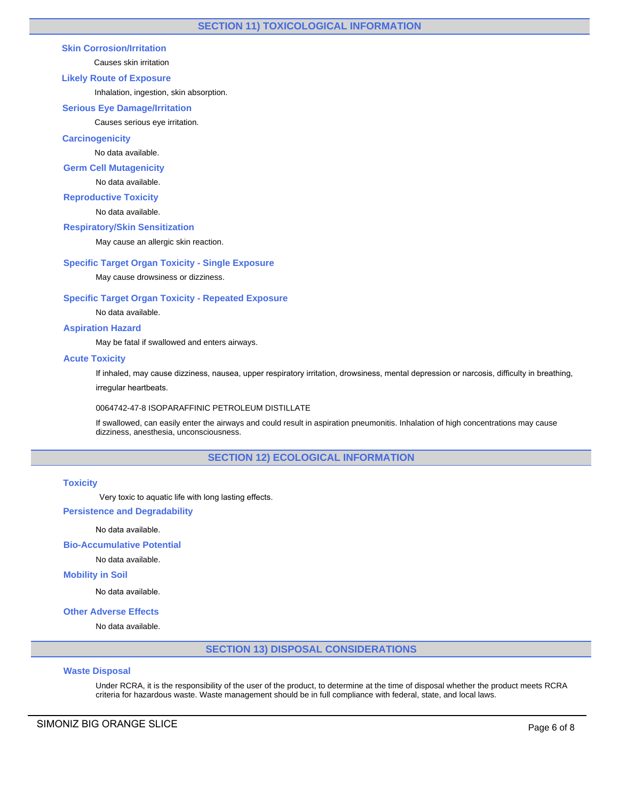# **Skin Corrosion/Irritation**

Causes skin irritation

# **Likely Route of Exposure**

Inhalation, ingestion, skin absorption.

## **Serious Eye Damage/Irritation**

Causes serious eye irritation.

## **Carcinogenicity**

No data available.

## **Germ Cell Mutagenicity**

No data available.

**Reproductive Toxicity**

No data available.

## **Respiratory/Skin Sensitization**

May cause an allergic skin reaction.

## **Specific Target Organ Toxicity - Single Exposure**

May cause drowsiness or dizziness.

## **Specific Target Organ Toxicity - Repeated Exposure**

No data available.

## **Aspiration Hazard**

May be fatal if swallowed and enters airways.

## **Acute Toxicity**

If inhaled, may cause dizziness, nausea, upper respiratory irritation, drowsiness, mental depression or narcosis, difficulty in breathing, irregular heartbeats.

#### 0064742-47-8 ISOPARAFFINIC PETROLEUM DISTILLATE

If swallowed, can easily enter the airways and could result in aspiration pneumonitis. Inhalation of high concentrations may cause dizziness, anesthesia, unconsciousness.

# **SECTION 12) ECOLOGICAL INFORMATION**

## **Toxicity**

Very toxic to aquatic life with long lasting effects.

## **Persistence and Degradability**

No data available.

# **Bio-Accumulative Potential**

No data available.

## **Mobility in Soil**

No data available.

# **Other Adverse Effects**

No data available.

# **SECTION 13) DISPOSAL CONSIDERATIONS**

# **Waste Disposal**

Under RCRA, it is the responsibility of the user of the product, to determine at the time of disposal whether the product meets RCRA criteria for hazardous waste. Waste management should be in full compliance with federal, state, and local laws.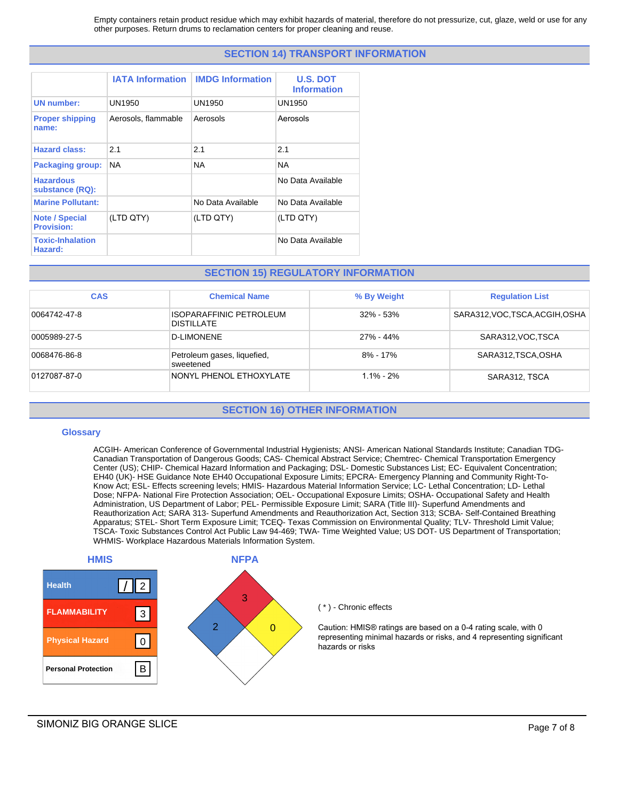Empty containers retain product residue which may exhibit hazards of material, therefore do not pressurize, cut, glaze, weld or use for any other purposes. Return drums to reclamation centers for proper cleaning and reuse.

# **SECTION 14) TRANSPORT INFORMATION**

|                                            | <b>IATA Information</b> | <b>IMDG Information</b> | <b>U.S. DOT</b><br><b>Information</b> |
|--------------------------------------------|-------------------------|-------------------------|---------------------------------------|
| <b>UN number:</b>                          | UN1950                  | UN1950                  | UN1950                                |
| <b>Proper shipping</b><br>name:            | Aerosols, flammable     | Aerosols                | Aerosols                              |
| <b>Hazard class:</b>                       | 2.1                     | 2.1                     | 2.1                                   |
| <b>Packaging group:</b>                    | NA.                     | <b>NA</b>               | <b>NA</b>                             |
| <b>Hazardous</b><br>substance (RQ):        |                         |                         | No Data Available                     |
| <b>Marine Pollutant:</b>                   |                         | No Data Available       | No Data Available                     |
| <b>Note / Special</b><br><b>Provision:</b> | (LTD QTY)               | (LTD QTY)               | (LTD QTY)                             |
| <b>Toxic-Inhalation</b><br>Hazard:         |                         |                         | No Data Available                     |

# **SECTION 15) REGULATORY INFORMATION**

| <b>CAS</b>   | <b>Chemical Name</b>                         | % By Weight   | <b>Regulation List</b>          |
|--------------|----------------------------------------------|---------------|---------------------------------|
| 0064742-47-8 | ISOPARAFFINIC PETROLEUM<br><b>DISTILLATE</b> | $32\% - 53\%$ | SARA312, VOC, TSCA, ACGIH, OSHA |
| 0005989-27-5 | <b>D-LIMONENE</b>                            | 27% - 44%     | SARA312, VOC, TSCA              |
| 0068476-86-8 | Petroleum gases, liquefied,<br>sweetened     | $8\% - 17\%$  | SARA312,TSCA,OSHA               |
| 0127087-87-0 | NONYL PHENOL ETHOXYLATE                      | $1.1\% - 2\%$ | SARA312, TSCA                   |

# **SECTION 16) OTHER INFORMATION**

## **Glossary**

ACGIH- American Conference of Governmental Industrial Hygienists; ANSI- American National Standards Institute; Canadian TDG-Canadian Transportation of Dangerous Goods; CAS- Chemical Abstract Service; Chemtrec- Chemical Transportation Emergency Center (US); CHIP- Chemical Hazard Information and Packaging; DSL- Domestic Substances List; EC- Equivalent Concentration; EH40 (UK)- HSE Guidance Note EH40 Occupational Exposure Limits; EPCRA- Emergency Planning and Community Right-To-Know Act; ESL- Effects screening levels; HMIS- Hazardous Material Information Service; LC- Lethal Concentration; LD- Lethal Dose; NFPA- National Fire Protection Association; OEL- Occupational Exposure Limits; OSHA- Occupational Safety and Health Administration, US Department of Labor; PEL- Permissible Exposure Limit; SARA (Title III)- Superfund Amendments and Reauthorization Act; SARA 313- Superfund Amendments and Reauthorization Act, Section 313; SCBA- Self-Contained Breathing Apparatus; STEL- Short Term Exposure Limit; TCEQ- Texas Commission on Environmental Quality; TLV- Threshold Limit Value; TSCA- Toxic Substances Control Act Public Law 94-469; TWA- Time Weighted Value; US DOT- US Department of Transportation; WHMIS- Workplace Hazardous Materials Information System.



#### ( \* ) - Chronic effects

Caution: HMIS® ratings are based on a 0-4 rating scale, with 0 representing minimal hazards or risks, and 4 representing significant hazards or risks